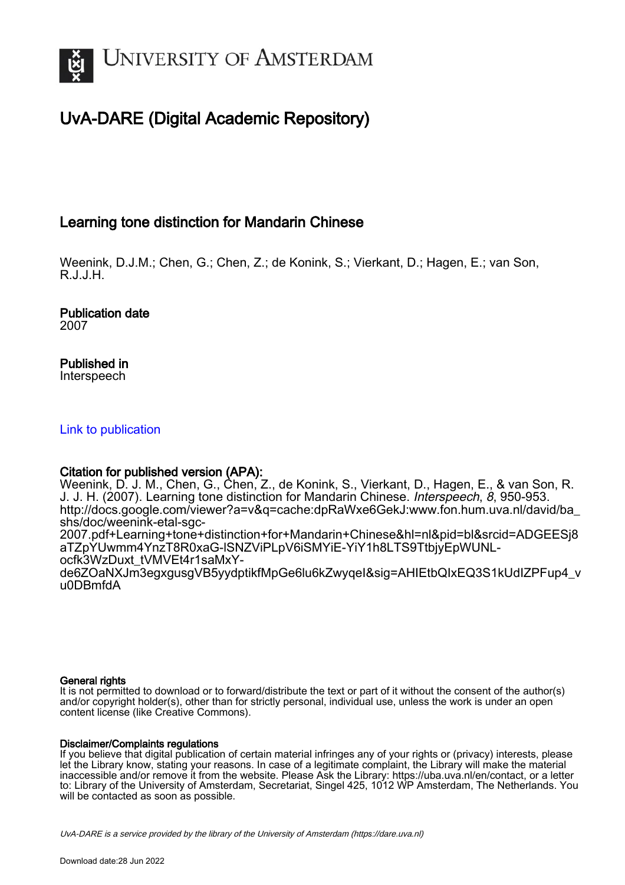

# UvA-DARE (Digital Academic Repository)

## Learning tone distinction for Mandarin Chinese

Weenink, D.J.M.; Chen, G.; Chen, Z.; de Konink, S.; Vierkant, D.; Hagen, E.; van Son, R.J.J.H.

Publication date 2007

Published in Interspeech

## [Link to publication](https://dare.uva.nl/personal/pure/en/publications/learning-tone-distinction-for-mandarin-chinese(60b73e78-7172-4c9a-96ca-157a415805f0).html)

## Citation for published version (APA):

Weenink, D. J. M., Chen, G., Chen, Z., de Konink, S., Vierkant, D., Hagen, E., & van Son, R. J. J. H. (2007). Learning tone distinction for Mandarin Chinese. Interspeech, 8, 950-953. [http://docs.google.com/viewer?a=v&q=cache:dpRaWxe6GekJ:www.fon.hum.uva.nl/david/ba\\_](http://docs.google.com/viewer?a=v&q=cache:dpRaWxe6GekJ:www.fon.hum.uva.nl/david/ba_shs/doc/weenink-etal-sgc-2007.pdf+Learning+tone+distinction+for+Mandarin+Chinese&hl=nl&pid=bl&srcid=ADGEESj8aTZpYUwmm4YnzT8R0xaG-lSNZViPLpV6iSMYiE-YiY1h8LTS9TtbjyEpWUNL-ocfk3WzDuxt_tVMVEt4r1saMxY-de6ZOaNXJm3egxgusgVB5yydptikfMpGe6lu6kZwyqeI&sig=AHIEtbQIxEQ3S1kUdIZPFup4_vu0DBmfdA) [shs/doc/weenink-etal-sgc-](http://docs.google.com/viewer?a=v&q=cache:dpRaWxe6GekJ:www.fon.hum.uva.nl/david/ba_shs/doc/weenink-etal-sgc-2007.pdf+Learning+tone+distinction+for+Mandarin+Chinese&hl=nl&pid=bl&srcid=ADGEESj8aTZpYUwmm4YnzT8R0xaG-lSNZViPLpV6iSMYiE-YiY1h8LTS9TtbjyEpWUNL-ocfk3WzDuxt_tVMVEt4r1saMxY-de6ZOaNXJm3egxgusgVB5yydptikfMpGe6lu6kZwyqeI&sig=AHIEtbQIxEQ3S1kUdIZPFup4_vu0DBmfdA)

[2007.pdf+Learning+tone+distinction+for+Mandarin+Chinese&hl=nl&pid=bl&srcid=ADGEESj8](http://docs.google.com/viewer?a=v&q=cache:dpRaWxe6GekJ:www.fon.hum.uva.nl/david/ba_shs/doc/weenink-etal-sgc-2007.pdf+Learning+tone+distinction+for+Mandarin+Chinese&hl=nl&pid=bl&srcid=ADGEESj8aTZpYUwmm4YnzT8R0xaG-lSNZViPLpV6iSMYiE-YiY1h8LTS9TtbjyEpWUNL-ocfk3WzDuxt_tVMVEt4r1saMxY-de6ZOaNXJm3egxgusgVB5yydptikfMpGe6lu6kZwyqeI&sig=AHIEtbQIxEQ3S1kUdIZPFup4_vu0DBmfdA) [aTZpYUwmm4YnzT8R0xaG-lSNZViPLpV6iSMYiE-YiY1h8LTS9TtbjyEpWUNL](http://docs.google.com/viewer?a=v&q=cache:dpRaWxe6GekJ:www.fon.hum.uva.nl/david/ba_shs/doc/weenink-etal-sgc-2007.pdf+Learning+tone+distinction+for+Mandarin+Chinese&hl=nl&pid=bl&srcid=ADGEESj8aTZpYUwmm4YnzT8R0xaG-lSNZViPLpV6iSMYiE-YiY1h8LTS9TtbjyEpWUNL-ocfk3WzDuxt_tVMVEt4r1saMxY-de6ZOaNXJm3egxgusgVB5yydptikfMpGe6lu6kZwyqeI&sig=AHIEtbQIxEQ3S1kUdIZPFup4_vu0DBmfdA)[ocfk3WzDuxt\\_tVMVEt4r1saMxY-](http://docs.google.com/viewer?a=v&q=cache:dpRaWxe6GekJ:www.fon.hum.uva.nl/david/ba_shs/doc/weenink-etal-sgc-2007.pdf+Learning+tone+distinction+for+Mandarin+Chinese&hl=nl&pid=bl&srcid=ADGEESj8aTZpYUwmm4YnzT8R0xaG-lSNZViPLpV6iSMYiE-YiY1h8LTS9TtbjyEpWUNL-ocfk3WzDuxt_tVMVEt4r1saMxY-de6ZOaNXJm3egxgusgVB5yydptikfMpGe6lu6kZwyqeI&sig=AHIEtbQIxEQ3S1kUdIZPFup4_vu0DBmfdA)

[de6ZOaNXJm3egxgusgVB5yydptikfMpGe6lu6kZwyqeI&sig=AHIEtbQIxEQ3S1kUdIZPFup4\\_v](http://docs.google.com/viewer?a=v&q=cache:dpRaWxe6GekJ:www.fon.hum.uva.nl/david/ba_shs/doc/weenink-etal-sgc-2007.pdf+Learning+tone+distinction+for+Mandarin+Chinese&hl=nl&pid=bl&srcid=ADGEESj8aTZpYUwmm4YnzT8R0xaG-lSNZViPLpV6iSMYiE-YiY1h8LTS9TtbjyEpWUNL-ocfk3WzDuxt_tVMVEt4r1saMxY-de6ZOaNXJm3egxgusgVB5yydptikfMpGe6lu6kZwyqeI&sig=AHIEtbQIxEQ3S1kUdIZPFup4_vu0DBmfdA) [u0DBmfdA](http://docs.google.com/viewer?a=v&q=cache:dpRaWxe6GekJ:www.fon.hum.uva.nl/david/ba_shs/doc/weenink-etal-sgc-2007.pdf+Learning+tone+distinction+for+Mandarin+Chinese&hl=nl&pid=bl&srcid=ADGEESj8aTZpYUwmm4YnzT8R0xaG-lSNZViPLpV6iSMYiE-YiY1h8LTS9TtbjyEpWUNL-ocfk3WzDuxt_tVMVEt4r1saMxY-de6ZOaNXJm3egxgusgVB5yydptikfMpGe6lu6kZwyqeI&sig=AHIEtbQIxEQ3S1kUdIZPFup4_vu0DBmfdA)

#### General rights

It is not permitted to download or to forward/distribute the text or part of it without the consent of the author(s) and/or copyright holder(s), other than for strictly personal, individual use, unless the work is under an open content license (like Creative Commons).

#### Disclaimer/Complaints regulations

If you believe that digital publication of certain material infringes any of your rights or (privacy) interests, please let the Library know, stating your reasons. In case of a legitimate complaint, the Library will make the material inaccessible and/or remove it from the website. Please Ask the Library: https://uba.uva.nl/en/contact, or a letter to: Library of the University of Amsterdam, Secretariat, Singel 425, 1012 WP Amsterdam, The Netherlands. You will be contacted as soon as possible.

UvA-DARE is a service provided by the library of the University of Amsterdam (http*s*://dare.uva.nl)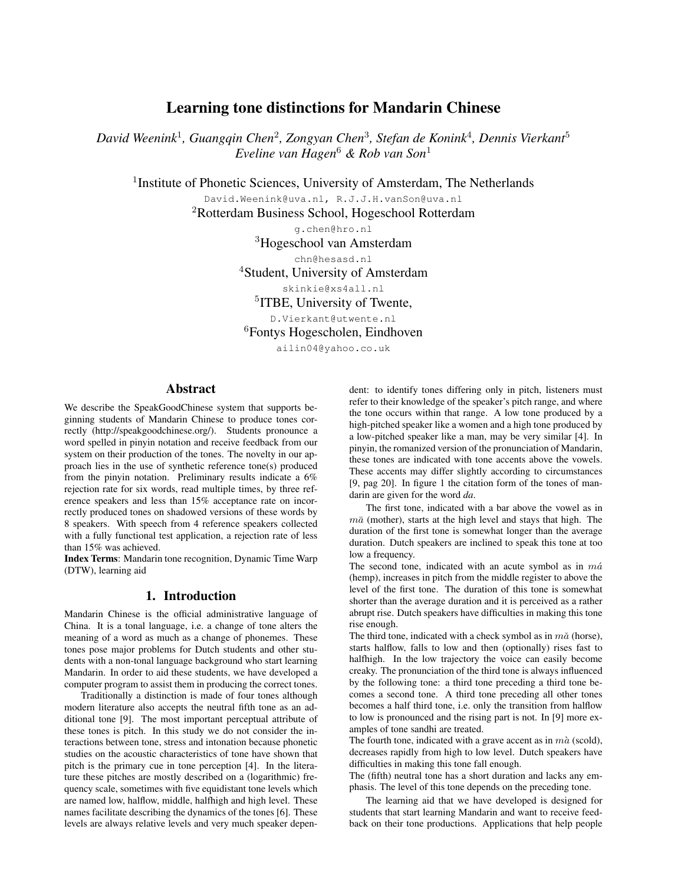## Learning tone distinctions for Mandarin Chinese

*David Weenink*<sup>1</sup> *, Guangqin Chen*<sup>2</sup> *, Zongyan Chen*<sup>3</sup> *, Stefan de Konink*<sup>4</sup> *, Dennis Vierkant*<sup>5</sup> *Eveline van Hagen*<sup>6</sup> *& Rob van Son*<sup>1</sup>

<sup>1</sup> Institute of Phonetic Sciences, University of Amsterdam, The Netherlands

David.Weenink@uva.nl, R.J.J.H.vanSon@uva.nl

<sup>2</sup>Rotterdam Business School, Hogeschool Rotterdam

g.chen@hro.nl <sup>3</sup>Hogeschool van Amsterdam chn@hesasd.nl <sup>4</sup>Student, University of Amsterdam skinkie@xs4all.nl 5 ITBE, University of Twente, D.Vierkant@utwente.nl <sup>6</sup>Fontys Hogescholen, Eindhoven

ailin04@yahoo.co.uk

#### Abstract

We describe the SpeakGoodChinese system that supports beginning students of Mandarin Chinese to produce tones correctly (http://speakgoodchinese.org/). Students pronounce a word spelled in pinyin notation and receive feedback from our system on their production of the tones. The novelty in our approach lies in the use of synthetic reference tone(s) produced from the pinyin notation. Preliminary results indicate a 6% rejection rate for six words, read multiple times, by three reference speakers and less than 15% acceptance rate on incorrectly produced tones on shadowed versions of these words by 8 speakers. With speech from 4 reference speakers collected with a fully functional test application, a rejection rate of less than 15% was achieved.

Index Terms: Mandarin tone recognition, Dynamic Time Warp (DTW), learning aid

#### 1. Introduction

Mandarin Chinese is the official administrative language of China. It is a tonal language, i.e. a change of tone alters the meaning of a word as much as a change of phonemes. These tones pose major problems for Dutch students and other students with a non-tonal language background who start learning Mandarin. In order to aid these students, we have developed a computer program to assist them in producing the correct tones.

Traditionally a distinction is made of four tones although modern literature also accepts the neutral fifth tone as an additional tone [9]. The most important perceptual attribute of these tones is pitch. In this study we do not consider the interactions between tone, stress and intonation because phonetic studies on the acoustic characteristics of tone have shown that pitch is the primary cue in tone perception [4]. In the literature these pitches are mostly described on a (logarithmic) frequency scale, sometimes with five equidistant tone levels which are named low, halflow, middle, halfhigh and high level. These names facilitate describing the dynamics of the tones [6]. These levels are always relative levels and very much speaker dependent: to identify tones differing only in pitch, listeners must refer to their knowledge of the speaker's pitch range, and where the tone occurs within that range. A low tone produced by a high-pitched speaker like a women and a high tone produced by a low-pitched speaker like a man, may be very similar [4]. In pinyin, the romanized version of the pronunciation of Mandarin, these tones are indicated with tone accents above the vowels. These accents may differ slightly according to circumstances [9, pag 20]. In figure 1 the citation form of the tones of mandarin are given for the word *da*.

The first tone, indicated with a bar above the vowel as in  $m\bar{a}$  (mother), starts at the high level and stays that high. The duration of the first tone is somewhat longer than the average duration. Dutch speakers are inclined to speak this tone at too low a frequency.

The second tone, indicated with an acute symbol as in  $m\acute{a}$ (hemp), increases in pitch from the middle register to above the level of the first tone. The duration of this tone is somewhat shorter than the average duration and it is perceived as a rather abrupt rise. Dutch speakers have difficulties in making this tone rise enough.

The third tone, indicated with a check symbol as in  $m\check{a}$  (horse), starts halflow, falls to low and then (optionally) rises fast to halfhigh. In the low trajectory the voice can easily become creaky. The pronunciation of the third tone is always influenced by the following tone: a third tone preceding a third tone becomes a second tone. A third tone preceding all other tones becomes a half third tone, i.e. only the transition from halflow to low is pronounced and the rising part is not. In [9] more examples of tone sandhi are treated.

The fourth tone, indicated with a grave accent as in  $m\dot{a}$  (scold), decreases rapidly from high to low level. Dutch speakers have difficulties in making this tone fall enough.

The (fifth) neutral tone has a short duration and lacks any emphasis. The level of this tone depends on the preceding tone.

The learning aid that we have developed is designed for students that start learning Mandarin and want to receive feedback on their tone productions. Applications that help people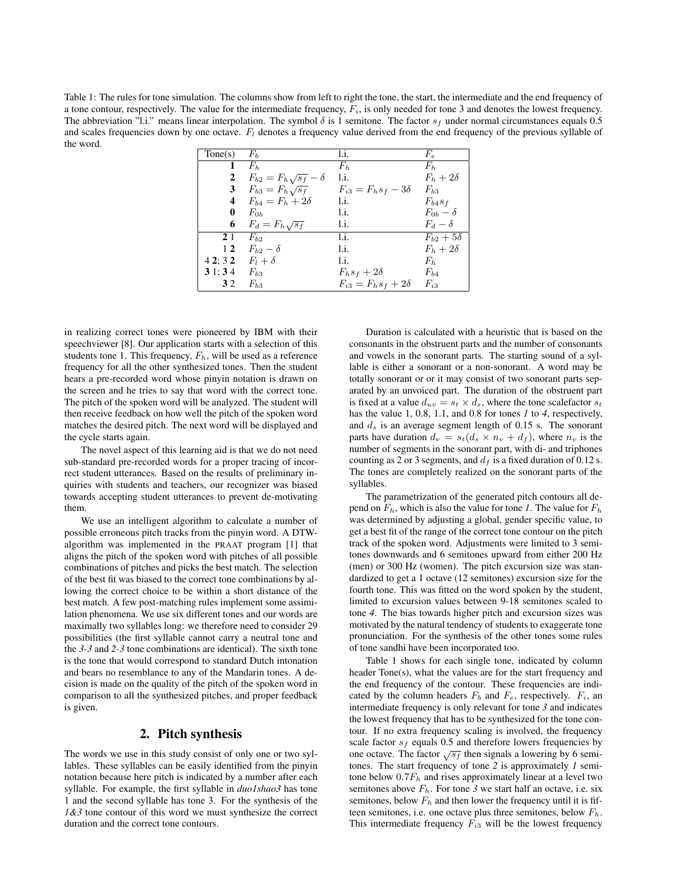Table 1: The rules for tone simulation. The columns show from left to right the tone, the start, the intermediate and the end frequency of a tone contour, respectively. The value for the intermediate frequency,  $F_i$ , is only needed for tone 3 and denotes the lowest frequency. The abbreviation "l.i." means linear interpolation. The symbol  $\delta$  is 1 semitone. The factor  $s_f$  under normal circumstances equals 0.5 and scales frequencies down by one octave.  $F_l$  denotes a frequency value derived from the end frequency of the previous syllable of the word.

| Tone(s)                 | $F_b$                              | l.i.                         | $F_e$             |
|-------------------------|------------------------------------|------------------------------|-------------------|
| 1                       | $F_h$                              | $F_h$                        | $F_h$             |
| 2                       | $F_{b2} = F_h \sqrt{s_f} - \delta$ | 1.i.                         | $F_h+2\delta$     |
| 3                       | $F_{b3}=F_h\sqrt{s_f}$             | $F_{i3} = F_h s_f - 3\delta$ | $F_{b3}$          |
| 4                       | $F_{h4}=F_h+2\delta$               | $1\mathbf{i}$ .              | $F_{b4}s_f$       |
| $\bf{0}$                | $F_{0b}$                           | $1\mathbf{i}$ .              | $F_{0b} - \delta$ |
| 6                       | $F_d = F_h \sqrt{s_f}$             | l.i.                         | $F_d-\delta$      |
| 21                      | $F_{b2}$                           | $1\mathbf{i}$ .              | $F_{b2}+5\delta$  |
| 12                      | $F_{b2} - \delta$                  | $1\mathbf{i}$ .              | $F_h+2\delta$     |
| 4 2: 3 2 $F_1 + \delta$ |                                    | $1\mathbf{i}$ .              | $F_h$             |
| 3 1; 3 4 $F_{b3}$       |                                    | $F_h s_f + 2\delta$          | $F_{b4}$          |
| <b>3</b> 2              | $F_{b3}$                           | $F_{i3} = F_h s_f + 2\delta$ | $F_{i3}$          |

in realizing correct tones were pioneered by IBM with their speechviewer [8]. Our application starts with a selection of this students tone 1. This frequency,  $F_h$ , will be used as a reference frequency for all the other synthesized tones. Then the student hears a pre-recorded word whose pinyin notation is drawn on the screen and he tries to say that word with the correct tone. The pitch of the spoken word will be analyzed. The student will then receive feedback on how well the pitch of the spoken word matches the desired pitch. The next word will be displayed and the cycle starts again.

The novel aspect of this learning aid is that we do not need sub-standard pre-recorded words for a proper tracing of incorrect student utterances. Based on the results of preliminary inquiries with students and teachers, our recognizer was biased towards accepting student utterances to prevent de-motivating them.

We use an intelligent algorithm to calculate a number of possible erroneous pitch tracks from the pinyin word. A DTWalgorithm was implemented in the PRAAT program [1] that aligns the pitch of the spoken word with pitches of all possible combinations of pitches and picks the best match. The selection of the best fit was biased to the correct tone combinations by allowing the correct choice to be within a short distance of the best match. A few post-matching rules implement some assimilation phenomena. We use six different tones and our words are maximally two syllables long: we therefore need to consider 29 possibilities (the first syllable cannot carry a neutral tone and the *3-3* and *2-3* tone combinations are identical). The sixth tone is the tone that would correspond to standard Dutch intonation and bears no resemblance to any of the Mandarin tones. A decision is made on the quality of the pitch of the spoken word in comparison to all the synthesized pitches, and proper feedback is given.

#### 2. Pitch synthesis

The words we use in this study consist of only one or two syllables. These syllables can be easily identified from the pinyin notation because here pitch is indicated by a number after each syllable. For example, the first syllable in *duo1shao3* has tone 1 and the second syllable has tone 3. For the synthesis of the *1&3* tone contour of this word we must synthesize the correct duration and the correct tone contours.

Duration is calculated with a heuristic that is based on the consonants in the obstruent parts and the number of consonants and vowels in the sonorant parts. The starting sound of a syllable is either a sonorant or a non-sonorant. A word may be totally sonorant or or it may consist of two sonorant parts separated by an unvoiced part. The duration of the obstruent part is fixed at a value  $d_{uv} = s_t \times d_s$ , where the tone scalefactor  $s_t$ has the value 1, 0.8, 1.1, and 0.8 for tones *1* to *4*, respectively, and  $d_s$  is an average segment length of 0.15 s. The sonorant parts have duration  $d_v = s_t(d_s \times n_v + d_f)$ , where  $n_v$  is the number of segments in the sonorant part, with di- and triphones counting as 2 or 3 segments, and  $d_f$  is a fixed duration of 0.12 s. The tones are completely realized on the sonorant parts of the syllables.

The parametrization of the generated pitch contours all depend on  $F_h$ , which is also the value for tone *1*. The value for  $F_h$ was determined by adjusting a global, gender specific value, to get a best fit of the range of the correct tone contour on the pitch track of the spoken word. Adjustments were limited to 3 semitones downwards and 6 semitones upward from either 200 Hz (men) or 300 Hz (women). The pitch excursion size was standardized to get a 1 octave (12 semitones) excursion size for the fourth tone. This was fitted on the word spoken by the student, limited to excursion values between 9-18 semitones scaled to tone *4*. The bias towards higher pitch and excursion sizes was motivated by the natural tendency of students to exaggerate tone pronunciation. For the synthesis of the other tones some rules of tone sandhi have been incorporated too.

Table 1 shows for each single tone, indicated by column header Tone(s), what the values are for the start frequency and the end frequency of the contour. These frequencies are indicated by the column headers  $F_b$  and  $F_e$ , respectively.  $F_i$ , an intermediate frequency is only relevant for tone *3* and indicates the lowest frequency that has to be synthesized for the tone contour. If no extra frequency scaling is involved, the frequency scale factor  $s_f$  equals 0.5 and therefore lowers frequencies by one octave. The factor  $\sqrt{s_f}$  then signals a lowering by 6 semitones. The start frequency of tone *2* is approximately *1* semitone below  $0.7F_h$  and rises approximately linear at a level two semitones above  $F_h$ . For tone 3 we start half an octave, i.e. six semitones, below  $F_h$  and then lower the frequency until it is fifteen semitones, i.e. one octave plus three semitones, below  $F_h$ . This intermediate frequency  $F_{i3}$  will be the lowest frequency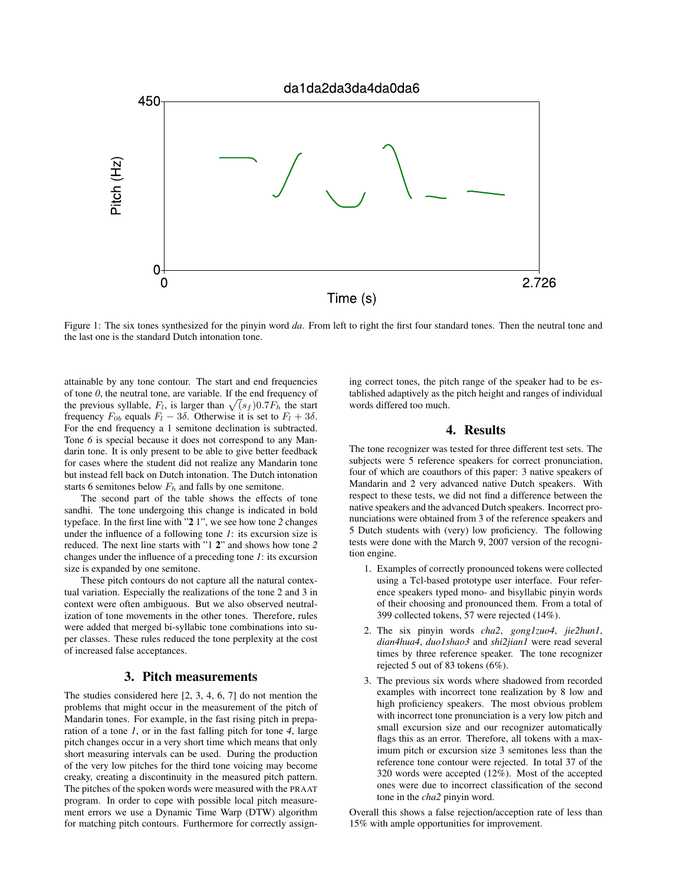

Figure 1: The six tones synthesized for the pinyin word *da*. From left to right the first four standard tones. Then the neutral tone and the last one is the standard Dutch intonation tone.

attainable by any tone contour. The start and end frequencies of tone *0*, the neutral tone, are variable. If the end frequency of the previous syllable,  $F_l$ , is larger than  $\sqrt{(s_f) 0.7F_h}$  the start frequency  $F_{0b}$  equals  $F_l - 3\delta$ . Otherwise it is set to  $F_l + 3\delta$ . For the end frequency a 1 semitone declination is subtracted. Tone *6* is special because it does not correspond to any Mandarin tone. It is only present to be able to give better feedback for cases where the student did not realize any Mandarin tone but instead fell back on Dutch intonation. The Dutch intonation starts 6 semitones below  $F_h$  and falls by one semitone.

The second part of the table shows the effects of tone sandhi. The tone undergoing this change is indicated in bold typeface. In the first line with "2 1", we see how tone *2* changes under the influence of a following tone *1*: its excursion size is reduced. The next line starts with "1 2" and shows how tone *2* changes under the influence of a preceding tone *1*: its excursion size is expanded by one semitone.

These pitch contours do not capture all the natural contextual variation. Especially the realizations of the tone 2 and 3 in context were often ambiguous. But we also observed neutralization of tone movements in the other tones. Therefore, rules were added that merged bi-syllabic tone combinations into super classes. These rules reduced the tone perplexity at the cost of increased false acceptances.

#### 3. Pitch measurements

The studies considered here [2, 3, 4, 6, 7] do not mention the problems that might occur in the measurement of the pitch of Mandarin tones. For example, in the fast rising pitch in preparation of a tone *1*, or in the fast falling pitch for tone *4*, large pitch changes occur in a very short time which means that only short measuring intervals can be used. During the production of the very low pitches for the third tone voicing may become creaky, creating a discontinuity in the measured pitch pattern. The pitches of the spoken words were measured with the PRAAT program. In order to cope with possible local pitch measurement errors we use a Dynamic Time Warp (DTW) algorithm for matching pitch contours. Furthermore for correctly assigning correct tones, the pitch range of the speaker had to be established adaptively as the pitch height and ranges of individual words differed too much.

#### 4. Results

The tone recognizer was tested for three different test sets. The subjects were 5 reference speakers for correct pronunciation, four of which are coauthors of this paper: 3 native speakers of Mandarin and 2 very advanced native Dutch speakers. With respect to these tests, we did not find a difference between the native speakers and the advanced Dutch speakers. Incorrect pronunciations were obtained from 3 of the reference speakers and 5 Dutch students with (very) low proficiency. The following tests were done with the March 9, 2007 version of the recognition engine.

- 1. Examples of correctly pronounced tokens were collected using a Tcl-based prototype user interface. Four reference speakers typed mono- and bisyllabic pinyin words of their choosing and pronounced them. From a total of 399 collected tokens, 57 were rejected (14%).
- 2. The six pinyin words *cha2*, *gong1zuo4*, *jie2hun1*, *dian4hua4*, *duo1shao3* and *shi2jian1* were read several times by three reference speaker. The tone recognizer rejected 5 out of 83 tokens (6%).
- 3. The previous six words where shadowed from recorded examples with incorrect tone realization by 8 low and high proficiency speakers. The most obvious problem with incorrect tone pronunciation is a very low pitch and small excursion size and our recognizer automatically flags this as an error. Therefore, all tokens with a maximum pitch or excursion size 3 semitones less than the reference tone contour were rejected. In total 37 of the 320 words were accepted (12%). Most of the accepted ones were due to incorrect classification of the second tone in the *cha2* pinyin word.

Overall this shows a false rejection/acception rate of less than 15% with ample opportunities for improvement.